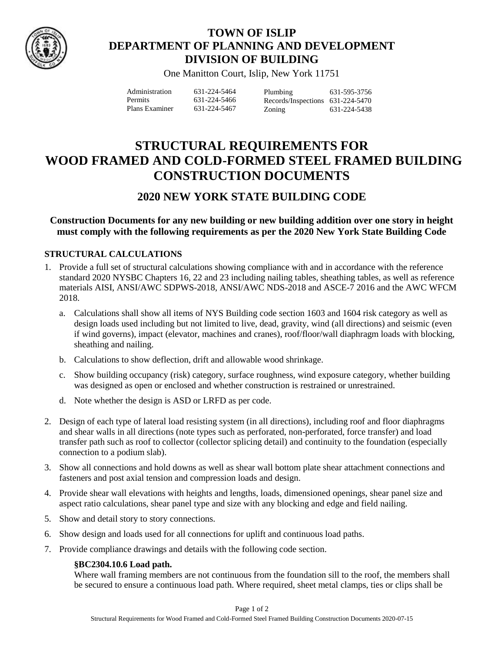

# **TOWN OF ISLIP DEPARTMENT OF PLANNING AND DEVELOPMENT DIVISION OF BUILDING**

One Manitton Court, Islip, New York 11751

| Administration | 631-224-5464 | Plumbing                         | 631-595-3756 |
|----------------|--------------|----------------------------------|--------------|
| <b>Permits</b> | 631-224-5466 | Records/Inspections 631-224-5470 |              |
| Plans Examiner | 631-224-5467 | Zoning                           | 631-224-5438 |

# **STRUCTURAL REQUIREMENTS FOR WOOD FRAMED AND COLD-FORMED STEEL FRAMED BUILDING CONSTRUCTION DOCUMENTS**

# **2020 NEW YORK STATE BUILDING CODE**

**Construction Documents for any new building or new building addition over one story in height must comply with the following requirements as per the 2020 New York State Building Code**

## **STRUCTURAL CALCULATIONS**

- 1. Provide a full set of structural calculations showing compliance with and in accordance with the reference standard 2020 NYSBC Chapters 16, 22 and 23 including nailing tables, sheathing tables, as well as reference materials AISI, ANSI/AWC SDPWS-2018, ANSI/AWC NDS-2018 and ASCE-7 2016 and the AWC WFCM 2018.
	- a. Calculations shall show all items of NYS Building code section 1603 and 1604 risk category as well as design loads used including but not limited to live, dead, gravity, wind (all directions) and seismic (even if wind governs), impact (elevator, machines and cranes), roof/floor/wall diaphragm loads with blocking, sheathing and nailing.
	- b. Calculations to show deflection, drift and allowable wood shrinkage.
	- c. Show building occupancy (risk) category, surface roughness, wind exposure category, whether building was designed as open or enclosed and whether construction is restrained or unrestrained.
	- d. Note whether the design is ASD or LRFD as per code.
- 2. Design of each type of lateral load resisting system (in all directions), including roof and floor diaphragms and shear walls in all directions (note types such as perforated, non-perforated, force transfer) and load transfer path such as roof to collector (collector splicing detail) and continuity to the foundation (especially connection to a podium slab).
- 3. Show all connections and hold downs as well as shear wall bottom plate shear attachment connections and fasteners and post axial tension and compression loads and design.
- 4. Provide shear wall elevations with heights and lengths, loads, dimensioned openings, shear panel size and aspect ratio calculations, shear panel type and size with any blocking and edge and field nailing.
- 5. Show and detail story to story connections.
- 6. Show design and loads used for all connections for uplift and continuous load paths.
- 7. Provide compliance drawings and details with the following code section.

### **§BC2304.10.6 Load path.**

Where wall framing members are not continuous from the foundation sill to the roof, the members shall be secured to ensure a continuous load path. Where required, sheet metal clamps, ties or clips shall be